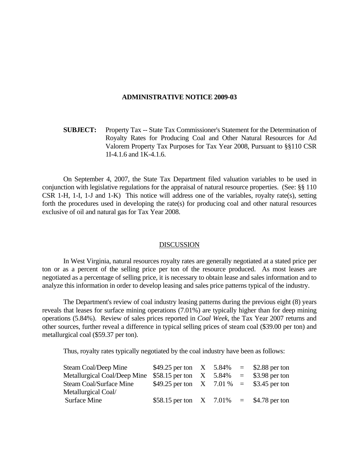## **ADMINISTRATIVE NOTICE 2009-03**

 **SUBJECT:** Property Tax -- State Tax Commissioner's Statement for the Determination of Royalty Rates for Producing Coal and Other Natural Resources for Ad Valorem Property Tax Purposes for Tax Year 2008, Pursuant to §§110 CSR 1I-4.1.6 and 1K-4.1.6.

 On September 4, 2007, the State Tax Department filed valuation variables to be used in conjunction with legislative regulations for the appraisal of natural resource properties. (See: §§ 110 CSR 1-H, 1-I, 1-J and 1-K) This notice will address one of the variables, royalty rate(s), setting forth the procedures used in developing the rate(s) for producing coal and other natural resources exclusive of oil and natural gas for Tax Year 2008.

## **DISCUSSION**

 In West Virginia, natural resources royalty rates are generally negotiated at a stated price per ton or as a percent of the selling price per ton of the resource produced. As most leases are negotiated as a percentage of selling price, it is necessary to obtain lease and sales information and to analyze this information in order to develop leasing and sales price patterns typical of the industry.

 The Department's review of coal industry leasing patterns during the previous eight (8) years reveals that leases for surface mining operations (7.01%) are typically higher than for deep mining operations (5.84%). Review of sales prices reported in *Coal Week*, the Tax Year 2007 returns and other sources, further reveal a difference in typical selling prices of steam coal (\$39.00 per ton) and metallurgical coal (\$59.37 per ton).

Thus, royalty rates typically negotiated by the coal industry have been as follows:

| Steam Coal/Deep Mine         | \$49.25 per ton $X = 5.84\% = 2.88$ per ton |  |                    |
|------------------------------|---------------------------------------------|--|--------------------|
| Metallurgical Coal/Deep Mine | \$58.15 per ton $X = 5.84\%$                |  | $=$ \$3.98 per ton |
| Steam Coal/Surface Mine      | \$49.25 per ton $X = 7.01\% = 3.45$ per ton |  |                    |
| Metallurgical Coal/          |                                             |  |                    |
| Surface Mine                 | \$58.15 per ton $X = 7.01\% = 1.78$ per ton |  |                    |